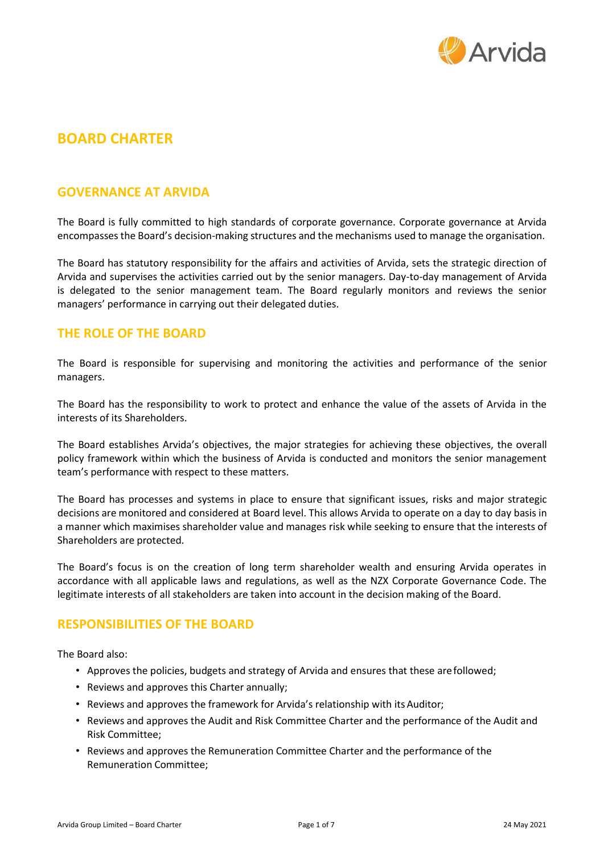

# **BOARD CHARTER**

#### **GOVERNANCE AT ARVIDA**

The Board is fully committed to high standards of corporate governance. Corporate governance at Arvida encompasses the Board's decision-making structures and the mechanisms used to manage the organisation.

The Board has statutory responsibility for the affairs and activities of Arvida, sets the strategic direction of Arvida and supervises the activities carried out by the senior managers. Day-to-day management of Arvida is delegated to the senior management team. The Board regularly monitors and reviews the senior managers' performance in carrying out their delegated duties.

## **THE ROLE OF THE BOARD**

The Board is responsible for supervising and monitoring the activities and performance of the senior managers.

The Board has the responsibility to work to protect and enhance the value of the assets of Arvida in the interests of its Shareholders.

The Board establishes Arvida's objectives, the major strategies for achieving these objectives, the overall policy framework within which the business of Arvida is conducted and monitors the senior management team's performance with respect to these matters.

The Board has processes and systems in place to ensure that significant issues, risks and major strategic decisions are monitored and considered at Board level. This allows Arvida to operate on a day to day basis in a manner which maximises shareholder value and manages risk while seeking to ensure that the interests of Shareholders are protected.

The Board's focus is on the creation of long term shareholder wealth and ensuring Arvida operates in accordance with all applicable laws and regulations, as well as the NZX Corporate Governance Code. The legitimate interests of all stakeholders are taken into account in the decision making of the Board.

#### **RESPONSIBILITIES OF THE BOARD**

The Board also:

- Approves the policies, budgets and strategy of Arvida and ensures that these arefollowed;
- Reviews and approves this Charter annually;
- Reviews and approves the framework for Arvida's relationship with its Auditor;
- Reviews and approves the Audit and Risk Committee Charter and the performance of the Audit and Risk Committee;
- Reviews and approves the Remuneration Committee Charter and the performance of the Remuneration Committee;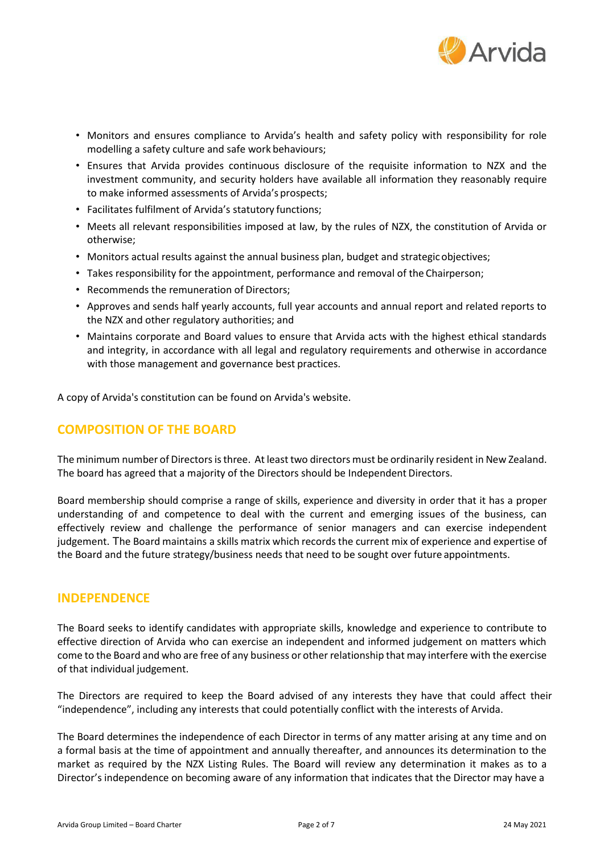

- Monitors and ensures compliance to Arvida's health and safety policy with responsibility for role modelling a safety culture and safe work behaviours;
- Ensures that Arvida provides continuous disclosure of the requisite information to NZX and the investment community, and security holders have available all information they reasonably require to make informed assessments of Arvida's prospects;
- Facilitates fulfilment of Arvida's statutory functions;
- Meets all relevant responsibilities imposed at law, by the rules of NZX, the constitution of Arvida or otherwise;
- Monitors actual results against the annual business plan, budget and strategicobjectives;
- Takes responsibility for the appointment, performance and removal of the Chairperson;
- Recommends the remuneration of Directors;
- Approves and sends half yearly accounts, full year accounts and annual report and related reports to the NZX and other regulatory authorities; and
- Maintains corporate and Board values to ensure that Arvida acts with the highest ethical standards and integrity, in accordance with all legal and regulatory requirements and otherwise in accordance with those management and governance best practices.

A copy of Arvida's constitution can be found on Arvida's website.

## **COMPOSITION OF THE BOARD**

The minimum number of Directors is three. At least two directors must be ordinarily resident in New Zealand. The board has agreed that a majority of the Directors should be Independent Directors.

Board membership should comprise a range of skills, experience and diversity in order that it has a proper understanding of and competence to deal with the current and emerging issues of the business, can effectively review and challenge the performance of senior managers and can exercise independent judgement. The Board maintains a skills matrix which records the current mix of experience and expertise of the Board and the future strategy/business needs that need to be sought over future appointments.

#### **INDEPENDENCE**

The Board seeks to identify candidates with appropriate skills, knowledge and experience to contribute to effective direction of Arvida who can exercise an independent and informed judgement on matters which come to the Board and who are free of any business or other relationship that may interfere with the exercise of that individual judgement.

The Directors are required to keep the Board advised of any interests they have that could affect their "independence", including any interests that could potentially conflict with the interests of Arvida.

The Board determines the independence of each Director in terms of any matter arising at any time and on a formal basis at the time of appointment and annually thereafter, and announces its determination to the market as required by the NZX Listing Rules. The Board will review any determination it makes as to a Director's independence on becoming aware of any information that indicates that the Director may have a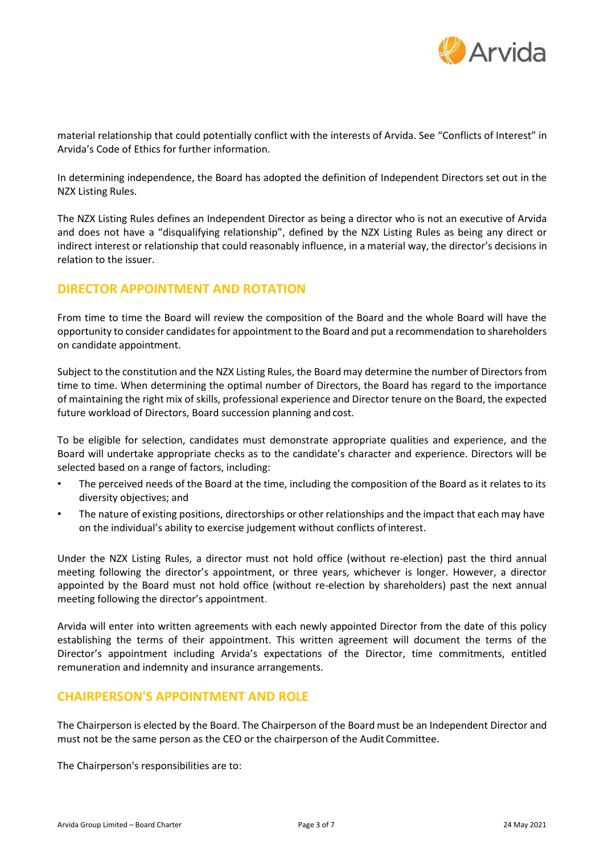

material relationship that could potentially conflict with the interests of Arvida. See "Conflicts of Interest" in Arvida's Code of Ethics for further information.

In determining independence, the Board has adopted the definition of Independent Directors set out in the NZX Listing Rules.

The NZX Listing Rules defines an Independent Director as being a director who is not an executive of Arvida and does not have a "disqualifying relationship", defined by the NZX Listing Rules as being any direct or indirect interest or relationship that could reasonably influence, in a material way, the director's decisions in relation to the issuer.

## **DIRECTOR APPOINTMENT AND ROTATION**

From time to time the Board will review the composition of the Board and the whole Board will have the opportunity to consider candidatesfor appointment to the Board and put a recommendation to shareholders on candidate appointment.

Subject to the constitution and the NZX Listing Rules, the Board may determine the number of Directors from time to time. When determining the optimal number of Directors, the Board has regard to the importance of maintaining the right mix of skills, professional experience and Director tenure on the Board, the expected future workload of Directors, Board succession planning and cost.

To be eligible for selection, candidates must demonstrate appropriate qualities and experience, and the Board will undertake appropriate checks as to the candidate's character and experience. Directors will be selected based on a range of factors, including:

- The perceived needs of the Board at the time, including the composition of the Board as it relates to its diversity objectives; and
- The nature of existing positions, directorships or other relationships and the impact that each may have on the individual's ability to exercise judgement without conflicts ofinterest.

Under the NZX Listing Rules, a director must not hold office (without re-election) past the third annual meeting following the director's appointment, or three years, whichever is longer. However, a director appointed by the Board must not hold office (without re-election by shareholders) past the next annual meeting following the director's appointment.

Arvida will enter into written agreements with each newly appointed Director from the date of this policy establishing the terms of their appointment. This written agreement will document the terms of the Director's appointment including Arvida's expectations of the Director, time commitments, entitled remuneration and indemnity and insurance arrangements.

#### **CHAIRPERSON'S APPOINTMENT AND ROLE**

The Chairperson is elected by the Board. The Chairperson of the Board must be an Independent Director and must not be the same person as the CEO or the chairperson of the Audit Committee.

The Chairperson's responsibilities are to: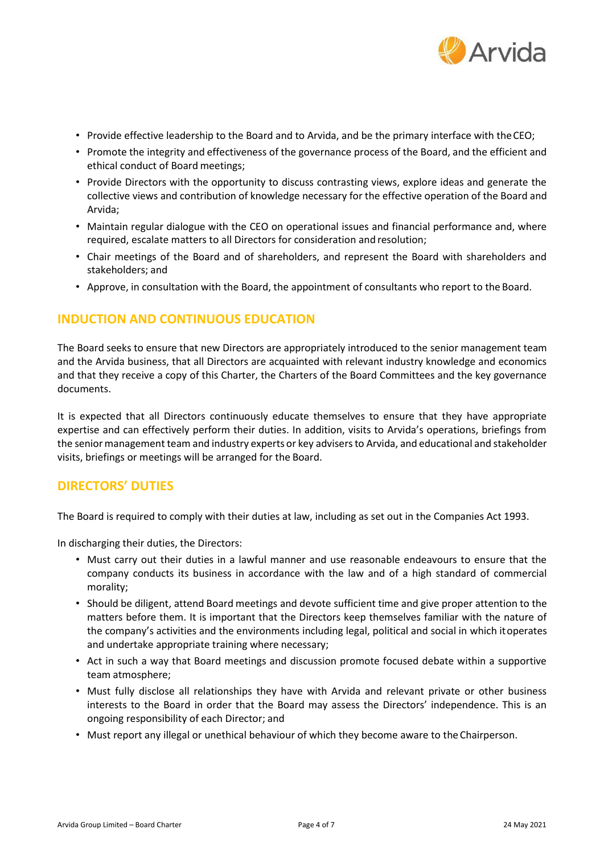

- Provide effective leadership to the Board and to Arvida, and be the primary interface with theCEO;
- Promote the integrity and effectiveness of the governance process of the Board, and the efficient and ethical conduct of Board meetings;
- Provide Directors with the opportunity to discuss contrasting views, explore ideas and generate the collective views and contribution of knowledge necessary for the effective operation of the Board and Arvida;
- Maintain regular dialogue with the CEO on operational issues and financial performance and, where required, escalate matters to all Directors for consideration and resolution;
- Chair meetings of the Board and of shareholders, and represent the Board with shareholders and stakeholders; and
- Approve, in consultation with the Board, the appointment of consultants who report to the Board.

## **INDUCTION AND CONTINUOUS EDUCATION**

The Board seeks to ensure that new Directors are appropriately introduced to the senior management team and the Arvida business, that all Directors are acquainted with relevant industry knowledge and economics and that they receive a copy of this Charter, the Charters of the Board Committees and the key governance documents.

It is expected that all Directors continuously educate themselves to ensure that they have appropriate expertise and can effectively perform their duties. In addition, visits to Arvida's operations, briefings from the seniormanagement team and industry experts or key advisersto Arvida, and educational and stakeholder visits, briefings or meetings will be arranged for the Board.

## **DIRECTORS' DUTIES**

The Board is required to comply with their duties at law, including as set out in the Companies Act 1993.

In discharging their duties, the Directors:

- Must carry out their duties in a lawful manner and use reasonable endeavours to ensure that the company conducts its business in accordance with the law and of a high standard of commercial morality;
- Should be diligent, attend Board meetings and devote sufficient time and give proper attention to the matters before them. It is important that the Directors keep themselves familiar with the nature of the company's activities and the environments including legal, political and social in which itoperates and undertake appropriate training where necessary;
- Act in such a way that Board meetings and discussion promote focused debate within a supportive team atmosphere;
- Must fully disclose all relationships they have with Arvida and relevant private or other business interests to the Board in order that the Board may assess the Directors' independence. This is an ongoing responsibility of each Director; and
- Must report any illegal or unethical behaviour of which they become aware to theChairperson.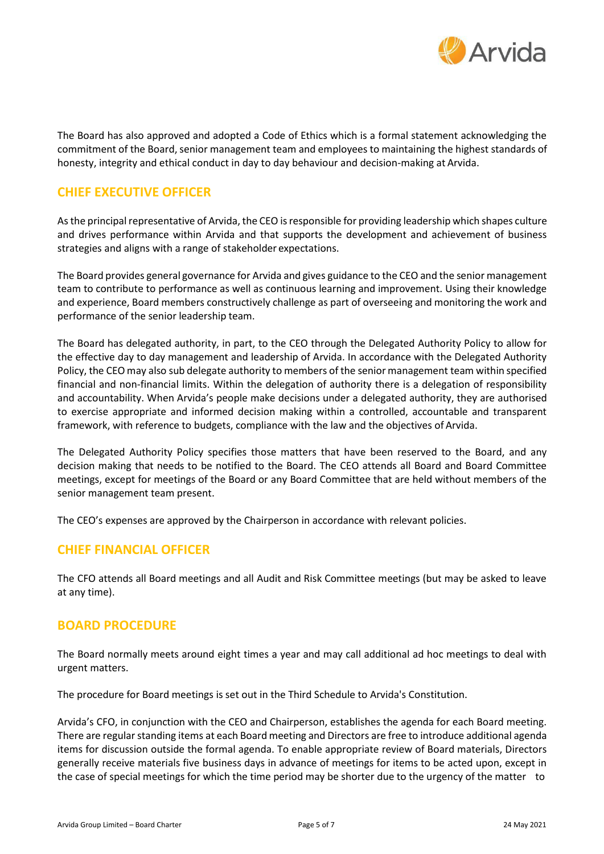

The Board has also approved and adopted a Code of Ethics which is a formal statement acknowledging the commitment of the Board, senior management team and employees to maintaining the highest standards of honesty, integrity and ethical conduct in day to day behaviour and decision-making at Arvida.

## **CHIEF EXECUTIVE OFFICER**

As the principal representative of Arvida, the CEO is responsible for providing leadership which shapes culture and drives performance within Arvida and that supports the development and achievement of business strategies and aligns with a range of stakeholder expectations.

The Board provides general governance for Arvida and gives guidance to the CEO and the senior management team to contribute to performance as well as continuous learning and improvement. Using their knowledge and experience, Board members constructively challenge as part of overseeing and monitoring the work and performance of the senior leadership team.

The Board has delegated authority, in part, to the CEO through the Delegated Authority Policy to allow for the effective day to day management and leadership of Arvida. In accordance with the Delegated Authority Policy, the CEO may also sub delegate authority to members of the senior management team within specified financial and non-financial limits. Within the delegation of authority there is a delegation of responsibility and accountability. When Arvida's people make decisions under a delegated authority, they are authorised to exercise appropriate and informed decision making within a controlled, accountable and transparent framework, with reference to budgets, compliance with the law and the objectives of Arvida.

The Delegated Authority Policy specifies those matters that have been reserved to the Board, and any decision making that needs to be notified to the Board. The CEO attends all Board and Board Committee meetings, except for meetings of the Board or any Board Committee that are held without members of the senior management team present.

The CEO's expenses are approved by the Chairperson in accordance with relevant policies.

## **CHIEF FINANCIAL OFFICER**

The CFO attends all Board meetings and all Audit and Risk Committee meetings (but may be asked to leave at any time).

#### **BOARD PROCEDURE**

The Board normally meets around eight times a year and may call additional ad hoc meetings to deal with urgent matters.

The procedure for Board meetings is set out in the Third Schedule to Arvida's Constitution.

Arvida's CFO, in conjunction with the CEO and Chairperson, establishes the agenda for each Board meeting. There are regular standing items at each Board meeting and Directors are free to introduce additional agenda items for discussion outside the formal agenda. To enable appropriate review of Board materials, Directors generally receive materials five business days in advance of meetings for items to be acted upon, except in the case of special meetings for which the time period may be shorter due to the urgency of the matter to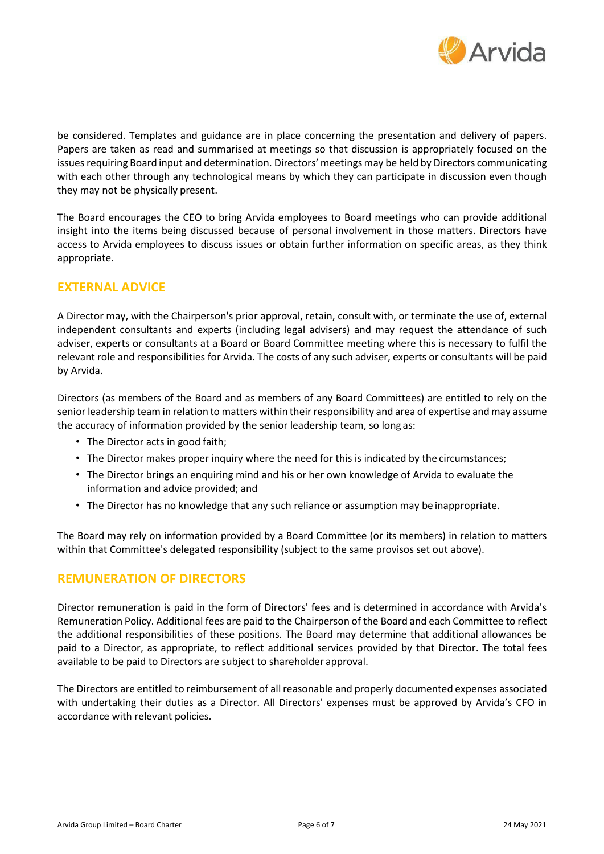

be considered. Templates and guidance are in place concerning the presentation and delivery of papers. Papers are taken as read and summarised at meetings so that discussion is appropriately focused on the issues requiring Board input and determination. Directors' meetings may be held by Directors communicating with each other through any technological means by which they can participate in discussion even though they may not be physically present.

The Board encourages the CEO to bring Arvida employees to Board meetings who can provide additional insight into the items being discussed because of personal involvement in those matters. Directors have access to Arvida employees to discuss issues or obtain further information on specific areas, as they think appropriate.

## **EXTERNAL ADVICE**

A Director may, with the Chairperson's prior approval, retain, consult with, or terminate the use of, external independent consultants and experts (including legal advisers) and may request the attendance of such adviser, experts or consultants at a Board or Board Committee meeting where this is necessary to fulfil the relevant role and responsibilities for Arvida. The costs of any such adviser, experts or consultants will be paid by Arvida.

Directors (as members of the Board and as members of any Board Committees) are entitled to rely on the senior leadership team in relation to matters within their responsibility and area of expertise andmay assume the accuracy of information provided by the senior leadership team, so long as:

- The Director acts in good faith;
- The Director makes proper inquiry where the need for this is indicated by the circumstances;
- The Director brings an enquiring mind and his or her own knowledge of Arvida to evaluate the information and advice provided; and
- The Director has no knowledge that any such reliance or assumption may be inappropriate.

The Board may rely on information provided by a Board Committee (or its members) in relation to matters within that Committee's delegated responsibility (subject to the same provisos set out above).

## **REMUNERATION OF DIRECTORS**

Director remuneration is paid in the form of Directors' fees and is determined in accordance with Arvida's Remuneration Policy. Additional fees are paid to the Chairperson of the Board and each Committee to reflect the additional responsibilities of these positions. The Board may determine that additional allowances be paid to a Director, as appropriate, to reflect additional services provided by that Director. The total fees available to be paid to Directors are subject to shareholder approval.

The Directors are entitled to reimbursement of all reasonable and properly documented expenses associated with undertaking their duties as a Director. All Directors' expenses must be approved by Arvida's CFO in accordance with relevant policies.